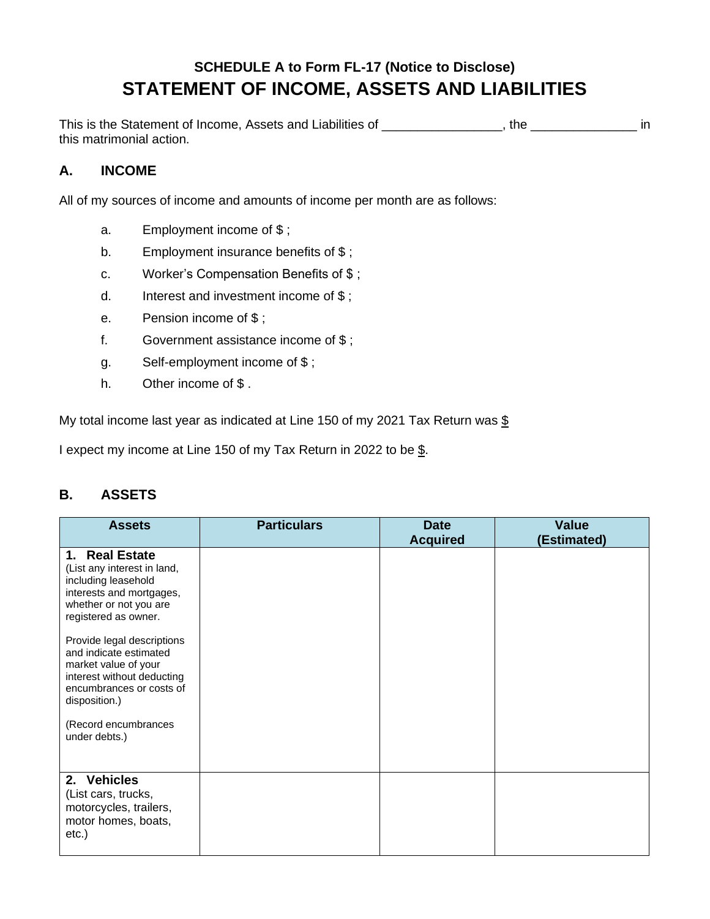## **SCHEDULE A to Form FL-17 (Notice to Disclose) STATEMENT OF INCOME, ASSETS AND LIABILITIES**

This is the Statement of Income, Assets and Liabilities of \_\_\_\_\_\_\_\_\_\_\_\_\_\_\_, the \_\_\_\_\_\_\_\_\_\_\_\_\_\_\_\_\_ in this matrimonial action.

## **A. INCOME**

All of my sources of income and amounts of income per month are as follows:

- a. Employment income of \$ ;
- b. Employment insurance benefits of \$;
- c. Worker's Compensation Benefits of \$ ;
- d. Interest and investment income of \$ ;
- e. Pension income of \$ ;
- f. Government assistance income of \$ ;
- g. Self-employment income of \$ ;
- h. Other income of \$.

My total income last year as indicated at Line 150 of my 2021 Tax Return was  $$$ 

I expect my income at Line 150 of my Tax Return in 2022 to be \$.

## **B. ASSETS**

| <b>Assets</b>                                                                                                                                           | <b>Particulars</b> | <b>Date</b>     | <b>Value</b> |
|---------------------------------------------------------------------------------------------------------------------------------------------------------|--------------------|-----------------|--------------|
|                                                                                                                                                         |                    | <b>Acquired</b> | (Estimated)  |
| 1. Real Estate<br>(List any interest in land,<br>including leasehold<br>interests and mortgages,<br>whether or not you are<br>registered as owner.      |                    |                 |              |
| Provide legal descriptions<br>and indicate estimated<br>market value of your<br>interest without deducting<br>encumbrances or costs of<br>disposition.) |                    |                 |              |
| (Record encumbrances<br>under debts.)                                                                                                                   |                    |                 |              |
| 2. Vehicles<br>(List cars, trucks,<br>motorcycles, trailers,<br>motor homes, boats,<br>etc.)                                                            |                    |                 |              |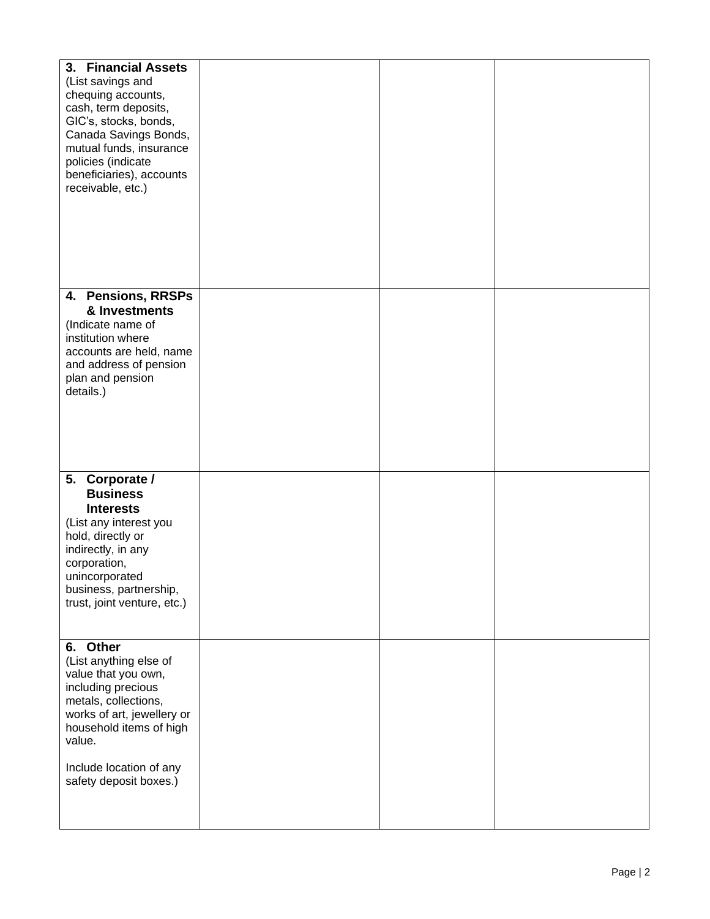| 3. Financial Assets<br>(List savings and<br>chequing accounts,<br>cash, term deposits,<br>GIC's, stocks, bonds,<br>Canada Savings Bonds,<br>mutual funds, insurance<br>policies (indicate<br>beneficiaries), accounts<br>receivable, etc.) |  |  |
|--------------------------------------------------------------------------------------------------------------------------------------------------------------------------------------------------------------------------------------------|--|--|
| 4. Pensions, RRSPs<br>& Investments<br>(Indicate name of<br>institution where<br>accounts are held, name<br>and address of pension<br>plan and pension<br>details.)                                                                        |  |  |
| 5. Corporate /<br><b>Business</b><br><b>Interests</b><br>(List any interest you<br>hold, directly or<br>indirectly, in any<br>corporation,<br>unincorporated<br>business, partnership,<br>trust, joint venture, etc.)                      |  |  |
| 6. Other<br>(List anything else of<br>value that you own,<br>including precious<br>metals, collections,<br>works of art, jewellery or<br>household items of high<br>value.<br>Include location of any<br>safety deposit boxes.)            |  |  |